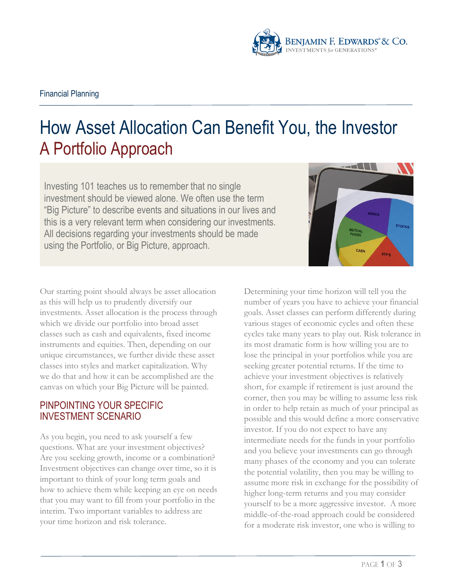

# How Asset Allocation Can Benefit You, the Investor A Portfolio Approach

Investing 101 teaches us to remember that no single investment should be viewed alone. We often use the term "Big Picture" to describe events and situations in our lives and this is a very relevant term when considering our investments. All decisions regarding your investments should be made using the Portfolio, or Big Picture, approach.

Our starting point should always be asset allocation as this will help us to prudently diversify our investments. Asset allocation is the process through which we divide our portfolio into broad asset classes such as cash and equivalents, fixed income instruments and equities. Then, depending on our unique circumstances, we further divide these asset classes into styles and market capitalization. Why we do that and how it can be accomplished are the canvas on which your Big Picture will be painted.

# PINPOINTING YOUR SPECIFIC INVESTMENT SCENARIO

As you begin, you need to ask yourself a few questions. What are your investment objectives? Are you seeking growth, income or a combination? Investment objectives can change over time, so it is important to think of your long term goals and how to achieve them while keeping an eye on needs that you may want to fill from your portfolio in the interim. Two important variables to address are your time horizon and risk tolerance.

Determining your time horizon will tell you the number of years you have to achieve your financial goals. Asset classes can perform differently during various stages of economic cycles and often these cycles take many years to play out. Risk tolerance in its most dramatic form is how willing you are to lose the principal in your portfolios while you are seeking greater potential returns. If the time to achieve your investment objectives is relatively short, for example if retirement is just around the corner, then you may be willing to assume less risk in order to help retain as much of your principal as possible and this would define a more conservative investor. If you do not expect to have any intermediate needs for the funds in your portfolio and you believe your investments can go through many phases of the economy and you can tolerate the potential volatility, then you may be willing to assume more risk in exchange for the possibility of higher long-term returns and you may consider yourself to be a more aggressive investor. A more middle-of-the-road approach could be considered for a moderate risk investor, one who is willing to

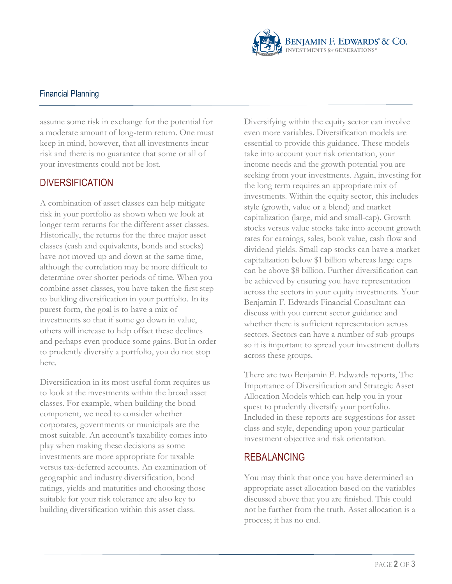

#### Financial Planning

assume some risk in exchange for the potential for a moderate amount of long-term return. One must keep in mind, however, that all investments incur risk and there is no guarantee that some or all of your investments could not be lost.

# **DIVERSIFICATION**

A combination of asset classes can help mitigate risk in your portfolio as shown when we look at longer term returns for the different asset classes. Historically, the returns for the three major asset classes (cash and equivalents, bonds and stocks) have not moved up and down at the same time, although the correlation may be more difficult to determine over shorter periods of time. When you combine asset classes, you have taken the first step to building diversification in your portfolio. In its purest form, the goal is to have a mix of investments so that if some go down in value, others will increase to help offset these declines and perhaps even produce some gains. But in order to prudently diversify a portfolio, you do not stop here.

Diversification in its most useful form requires us to look at the investments within the broad asset classes. For example, when building the bond component, we need to consider whether corporates, governments or municipals are the most suitable. An account's taxability comes into play when making these decisions as some investments are more appropriate for taxable versus tax-deferred accounts. An examination of geographic and industry diversification, bond ratings, yields and maturities and choosing those suitable for your risk tolerance are also key to building diversification within this asset class.

Diversifying within the equity sector can involve even more variables. Diversification models are essential to provide this guidance. These models take into account your risk orientation, your income needs and the growth potential you are seeking from your investments. Again, investing for the long term requires an appropriate mix of investments. Within the equity sector, this includes style (growth, value or a blend) and market capitalization (large, mid and small-cap). Growth stocks versus value stocks take into account growth rates for earnings, sales, book value, cash flow and dividend yields. Small cap stocks can have a market capitalization below \$1 billion whereas large caps can be above \$8 billion. Further diversification can be achieved by ensuring you have representation across the sectors in your equity investments. Your Benjamin F. Edwards Financial Consultant can discuss with you current sector guidance and whether there is sufficient representation across sectors. Sectors can have a number of sub-groups so it is important to spread your investment dollars across these groups.

There are two Benjamin F. Edwards reports, The Importance of Diversification and Strategic Asset Allocation Models which can help you in your quest to prudently diversify your portfolio. Included in these reports are suggestions for asset class and style, depending upon your particular investment objective and risk orientation.

### REBALANCING

You may think that once you have determined an appropriate asset allocation based on the variables discussed above that you are finished. This could not be further from the truth. Asset allocation is a process; it has no end.